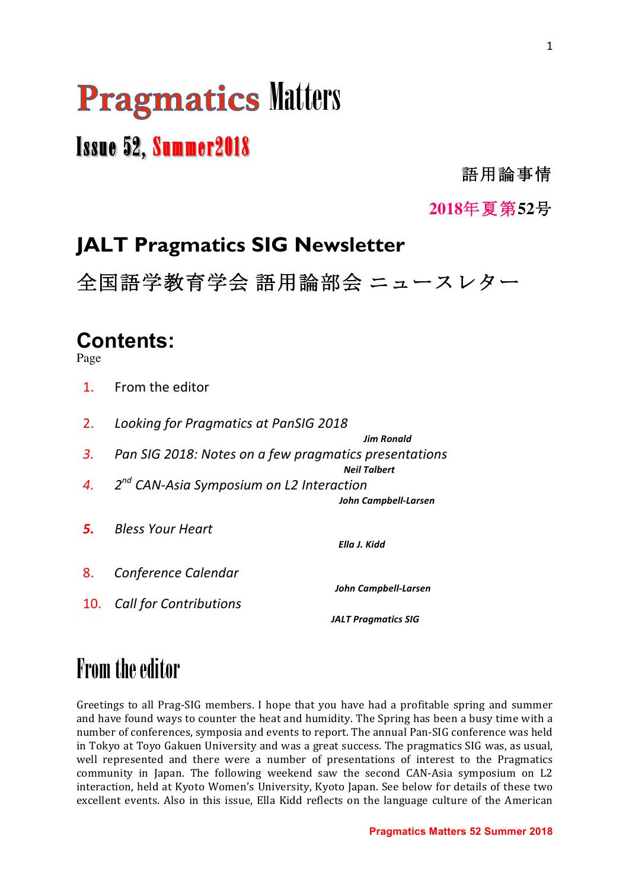# **Pragmatics Matters**

# Issue 52, Summer2018

語用論事情

**2018**年夏第**52**号

# **JALT Pragmatics SIG Newsletter**

全国語学教育学会 語用論部会 ニュースレター

## **Contents:**

Page

- 1. From the editor
- 2. Looking for Pragmatics at PanSIG 2018
- *3.* Pan SIG 2018: Notes on a few pragmatics presentations *<i>Nell* Talbert

 *Jim Ronald*

- *4. 2nd CAN-Asia Symposium on L2 Interaction John Campbell-Larsen*
- **5.** Bless Your Heart

*Ella J. Kidd* 

- 8. *Conference Calendar*
- 10. Call for Contributions

 *John Campbell-Larsen*

*JALT* Pragmatics SIG

# From the editor

Greetings to all Prag-SIG members. I hope that you have had a profitable spring and summer and have found ways to counter the heat and humidity. The Spring has been a busy time with a number of conferences, symposia and events to report. The annual Pan-SIG conference was held in Tokyo at Toyo Gakuen University and was a great success. The pragmatics SIG was, as usual, well represented and there were a number of presentations of interest to the Pragmatics community in Japan. The following weekend saw the second CAN-Asia symposium on L2 interaction, held at Kyoto Women's University, Kyoto Japan. See below for details of these two excellent events. Also in this issue, Ella Kidd reflects on the language culture of the American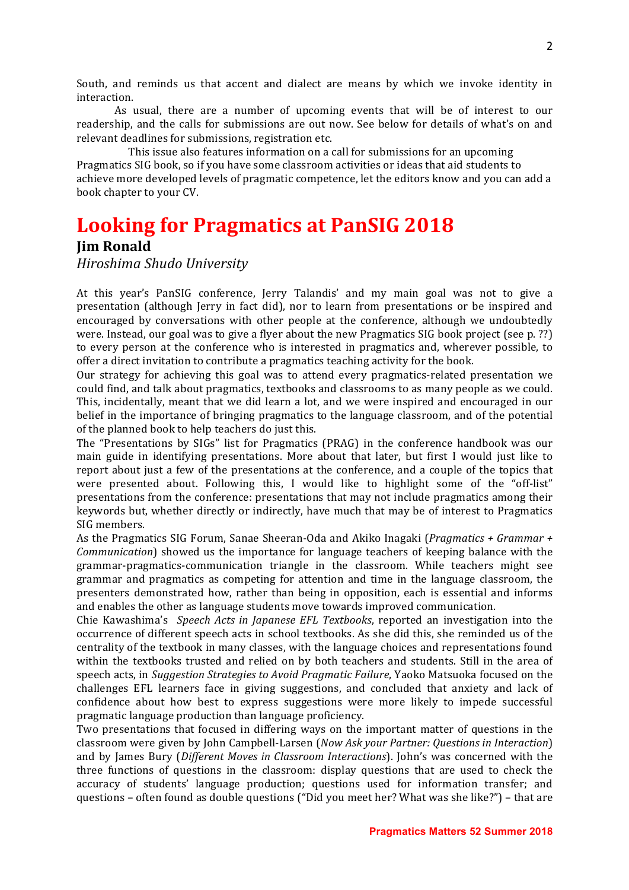South, and reminds us that accent and dialect are means by which we invoke identity in interaction.

As usual, there are a number of upcoming events that will be of interest to our readership, and the calls for submissions are out now. See below for details of what's on and relevant deadlines for submissions, registration etc.

This issue also features information on a call for submissions for an upcoming Pragmatics SIG book, so if you have some classroom activities or ideas that aid students to achieve more developed levels of pragmatic competence, let the editors know and you can add a book chapter to your CV.

# **Looking for Pragmatics at PanSIG 2018**

#### **Jim Ronald**

*Hiroshima Shudo University*

At this year's PanSIG conference, Jerry Talandis' and my main goal was not to give a presentation (although Jerry in fact did), nor to learn from presentations or be inspired and encouraged by conversations with other people at the conference, although we undoubtedly were. Instead, our goal was to give a flyer about the new Pragmatics SIG book project (see p. ??) to every person at the conference who is interested in pragmatics and, wherever possible, to offer a direct invitation to contribute a pragmatics teaching activity for the book.

Our strategy for achieving this goal was to attend every pragmatics-related presentation we could find, and talk about pragmatics, textbooks and classrooms to as many people as we could. This, incidentally, meant that we did learn a lot, and we were inspired and encouraged in our belief in the importance of bringing pragmatics to the language classroom, and of the potential of the planned book to help teachers do just this.

The "Presentations by SIGs" list for Pragmatics (PRAG) in the conference handbook was our main guide in identifying presentations. More about that later, but first I would just like to report about just a few of the presentations at the conference, and a couple of the topics that were presented about. Following this, I would like to highlight some of the "off-list" presentations from the conference: presentations that may not include pragmatics among their keywords but, whether directly or indirectly, have much that may be of interest to Pragmatics SIG members.

As the Pragmatics SIG Forum, Sanae Sheeran-Oda and Akiko Inagaki (*Pragmatics + Grammar + Communication*) showed us the importance for language teachers of keeping balance with the grammar-pragmatics-communication triangle in the classroom. While teachers might see grammar and pragmatics as competing for attention and time in the language classroom, the presenters demonstrated how, rather than being in opposition, each is essential and informs and enables the other as language students move towards improved communication.

Chie Kawashima's *Speech Acts in Japanese EFL Textbooks*, reported an investigation into the occurrence of different speech acts in school textbooks. As she did this, she reminded us of the centrality of the textbook in many classes, with the language choices and representations found within the textbooks trusted and relied on by both teachers and students. Still in the area of speech acts, in *Suggestion Strategies to Avoid Pragmatic Failure*, Yaoko Matsuoka focused on the challenges EFL learners face in giving suggestions, and concluded that anxiety and lack of confidence about how best to express suggestions were more likely to impede successful pragmatic language production than language proficiency.

Two presentations that focused in differing ways on the important matter of questions in the classroom were given by John Campbell-Larsen (*Now Ask your Partner: Questions in Interaction*) and by James Bury (*Different Moves in Classroom Interactions*). John's was concerned with the three functions of questions in the classroom: display questions that are used to check the accuracy of students' language production; questions used for information transfer; and questions – often found as double questions ("Did you meet her? What was she like?") – that are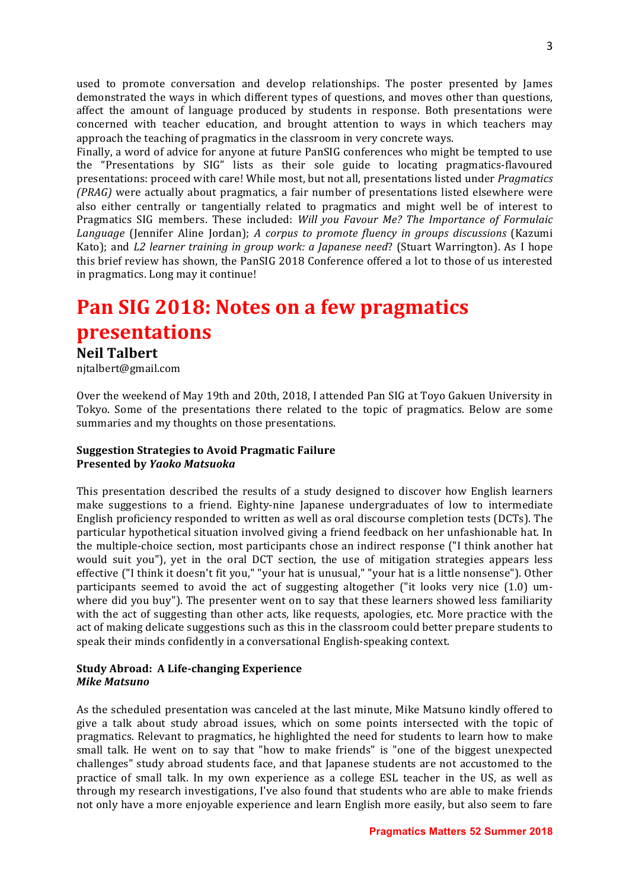used to promote conversation and develop relationships. The poster presented by James demonstrated the ways in which different types of questions, and moves other than questions, affect the amount of language produced by students in response. Both presentations were concerned with teacher education, and brought attention to ways in which teachers may approach the teaching of pragmatics in the classroom in very concrete ways.

Finally, a word of advice for anyone at future PanSIG conferences who might be tempted to use the "Presentations by SIG" lists as their sole guide to locating pragmatics-flavoured presentations: proceed with care! While most, but not all, presentations listed under *Pragmatics (PRAG)* were actually about pragmatics, a fair number of presentations listed elsewhere were also either centrally or tangentially related to pragmatics and might well be of interest to Pragmatics SIG members. These included: *Will you Favour Me? The Importance of Formulaic Language* (Jennifer Aline Jordan); *A corpus to promote fluency in groups discussions* (Kazumi Kato); and *L2 learner training in group work: a Japanese need*? (Stuart Warrington). As I hope this brief review has shown, the PanSIG 2018 Conference offered a lot to those of us interested in pragmatics. Long may it continue!

# **Pan SIG 2018: Notes on a few pragmatics presentations**

#### **Neil Talbert**

njtalbert@gmail.com

Over the weekend of May 19th and 20th, 2018, I attended Pan SIG at Toyo Gakuen University in Tokyo. Some of the presentations there related to the topic of pragmatics. Below are some summaries and my thoughts on those presentations.

#### **Suggestion Strategies to Avoid Pragmatic Failure Presented by** *Yaoko Matsuoka*

This presentation described the results of a study designed to discover how English learners make suggestions to a friend. Eighty-nine Japanese undergraduates of low to intermediate English proficiency responded to written as well as oral discourse completion tests (DCTs). The particular hypothetical situation involved giving a friend feedback on her unfashionable hat. In the multiple-choice section, most participants chose an indirect response ("I think another hat would suit you"), yet in the oral DCT section, the use of mitigation strategies appears less effective ("I think it doesn't fit you," "your hat is unusual," "your hat is a little nonsense"). Other participants seemed to avoid the act of suggesting altogether ("it looks very nice  $(1.0)$  umwhere did you buy"). The presenter went on to say that these learners showed less familiarity with the act of suggesting than other acts, like requests, apologies, etc. More practice with the act of making delicate suggestions such as this in the classroom could better prepare students to speak their minds confidently in a conversational English-speaking context.

#### **Study Abroad: A Life-changing Experience** *Mike Matsuno*

As the scheduled presentation was canceled at the last minute, Mike Matsuno kindly offered to give a talk about study abroad issues, which on some points intersected with the topic of pragmatics. Relevant to pragmatics, he highlighted the need for students to learn how to make small talk. He went on to say that "how to make friends" is "one of the biggest unexpected challenges" study abroad students face, and that Japanese students are not accustomed to the practice of small talk. In my own experience as a college ESL teacher in the US, as well as through my research investigations, I've also found that students who are able to make friends not only have a more enjoyable experience and learn English more easily, but also seem to fare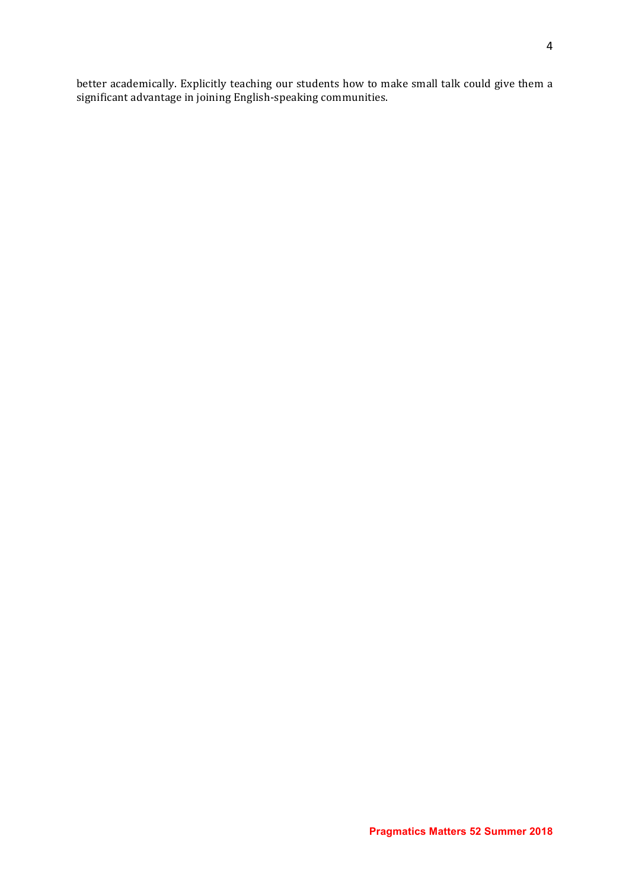better academically. Explicitly teaching our students how to make small talk could give them a significant advantage in joining English-speaking communities.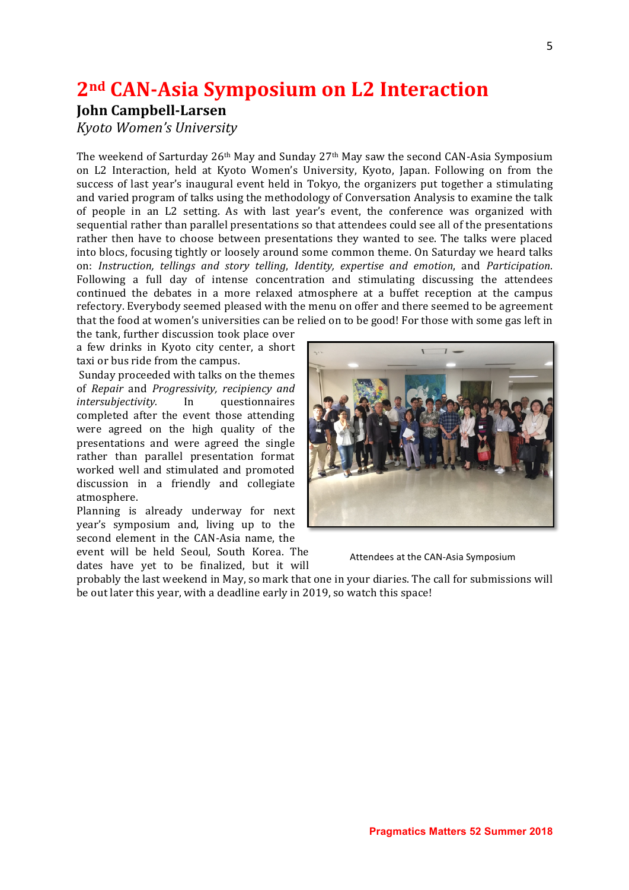### **2nd CAN-Asia Symposium on L2 Interaction**

#### **John Campbell-Larsen**

*Kyoto Women's University*

The weekend of Sarturday  $26<sup>th</sup>$  May and Sunday  $27<sup>th</sup>$  May saw the second CAN-Asia Symposium on L2 Interaction, held at Kyoto Women's University, Kyoto, Japan. Following on from the success of last year's inaugural event held in Tokyo, the organizers put together a stimulating and varied program of talks using the methodology of Conversation Analysis to examine the talk of people in an L2 setting. As with last year's event, the conference was organized with sequential rather than parallel presentations so that attendees could see all of the presentations rather then have to choose between presentations they wanted to see. The talks were placed into blocs, focusing tightly or loosely around some common theme. On Saturday we heard talks on: *Instruction, tellings and story telling*, *Identity, expertise and emotion*, and *Participation*. Following a full day of intense concentration and stimulating discussing the attendees continued the debates in a more relaxed atmosphere at a buffet reception at the campus refectory. Everybody seemed pleased with the menu on offer and there seemed to be agreement that the food at women's universities can be relied on to be good! For those with some gas left in

the tank, further discussion took place over a few drinks in Kyoto city center, a short taxi or bus ride from the campus.

Sunday proceeded with talks on the themes of *Repair* and *Progressivity, recipiency and intersubjectivity.* In questionnaires completed after the event those attending were agreed on the high quality of the presentations and were agreed the single rather than parallel presentation format worked well and stimulated and promoted discussion in a friendly and collegiate atmosphere. 

Planning is already underway for next year's symposium and, living up to the second element in the CAN-Asia name, the

event will be held Seoul, South Korea. The dates have yet to be finalized, but it will



Attendees at the CAN-Asia Symposium

probably the last weekend in May, so mark that one in your diaries. The call for submissions will be out later this year, with a deadline early in 2019, so watch this space!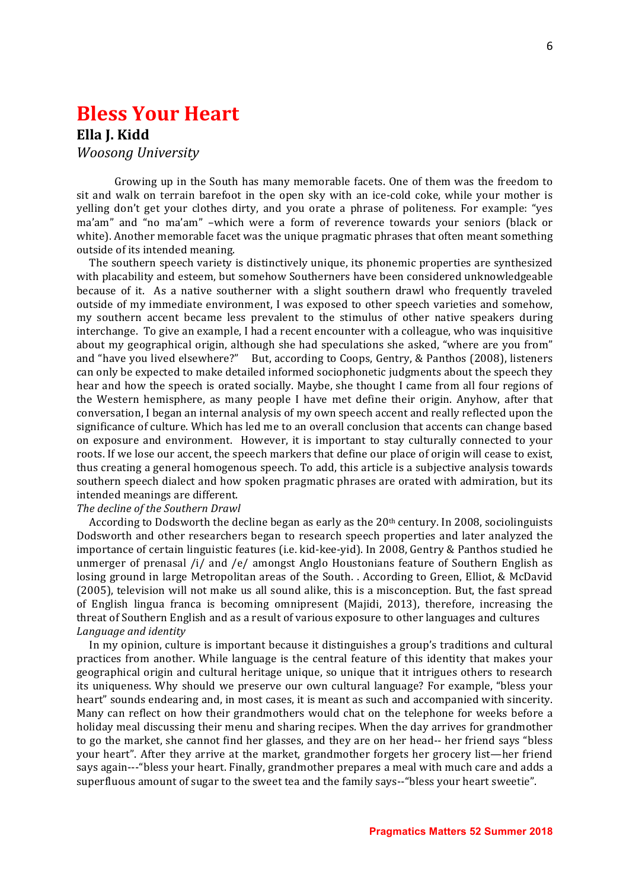### **Bless Your Heart**

#### **Ella I. Kidd** *Woosong University*

Growing up in the South has many memorable facets. One of them was the freedom to sit and walk on terrain barefoot in the open sky with an ice-cold coke, while your mother is yelling don't get your clothes dirty, and you orate a phrase of politeness. For example: "yes ma'am" and "no ma'am" -which were a form of reverence towards your seniors (black or white). Another memorable facet was the unique pragmatic phrases that often meant something outside of its intended meaning.

The southern speech variety is distinctively unique, its phonemic properties are synthesized with placability and esteem, but somehow Southerners have been considered unknowledgeable because of it. As a native southerner with a slight southern drawl who frequently traveled outside of my immediate environment, I was exposed to other speech varieties and somehow, my southern accent became less prevalent to the stimulus of other native speakers during interchange. To give an example, I had a recent encounter with a colleague, who was inquisitive about my geographical origin, although she had speculations she asked, "where are you from" and "have you lived elsewhere?" But, according to Coops, Gentry, & Panthos (2008), listeners can only be expected to make detailed informed sociophonetic judgments about the speech they hear and how the speech is orated socially. Maybe, she thought I came from all four regions of the Western hemisphere, as many people I have met define their origin. Anyhow, after that conversation, I began an internal analysis of my own speech accent and really reflected upon the significance of culture. Which has led me to an overall conclusion that accents can change based on exposure and environment. However, it is important to stay culturally connected to your roots. If we lose our accent, the speech markers that define our place of origin will cease to exist, thus creating a general homogenous speech. To add, this article is a subjective analysis towards southern speech dialect and how spoken pragmatic phrases are orated with admiration, but its intended meanings are different.

#### *The decline of the Southern Drawl*

According to Dodsworth the decline began as early as the  $20<sup>th</sup>$  century. In 2008, sociolinguists Dodsworth and other researchers began to research speech properties and later analyzed the importance of certain linguistic features (i.e. kid-kee-yid). In 2008, Gentry & Panthos studied he unmerger of prenasal  $/i/$  and  $/e/$  amongst Anglo Houstonians feature of Southern English as losing ground in large Metropolitan areas of the South. . According to Green, Elliot, & McDavid (2005), television will not make us all sound alike, this is a misconception. But, the fast spread of English lingua franca is becoming omnipresent (Majidi, 2013), therefore, increasing the threat of Southern English and as a result of various exposure to other languages and cultures *Language and identity*

In my opinion, culture is important because it distinguishes a group's traditions and cultural practices from another. While language is the central feature of this identity that makes your geographical origin and cultural heritage unique, so unique that it intrigues others to research its uniqueness. Why should we preserve our own cultural language? For example, "bless your heart" sounds endearing and, in most cases, it is meant as such and accompanied with sincerity. Many can reflect on how their grandmothers would chat on the telephone for weeks before a holiday meal discussing their menu and sharing recipes. When the day arrives for grandmother to go the market, she cannot find her glasses, and they are on her head-- her friend says "bless" your heart". After they arrive at the market, grandmother forgets her grocery list—her friend says again---"bless your heart. Finally, grandmother prepares a meal with much care and adds a superfluous amount of sugar to the sweet tea and the family says--"bless your heart sweetie".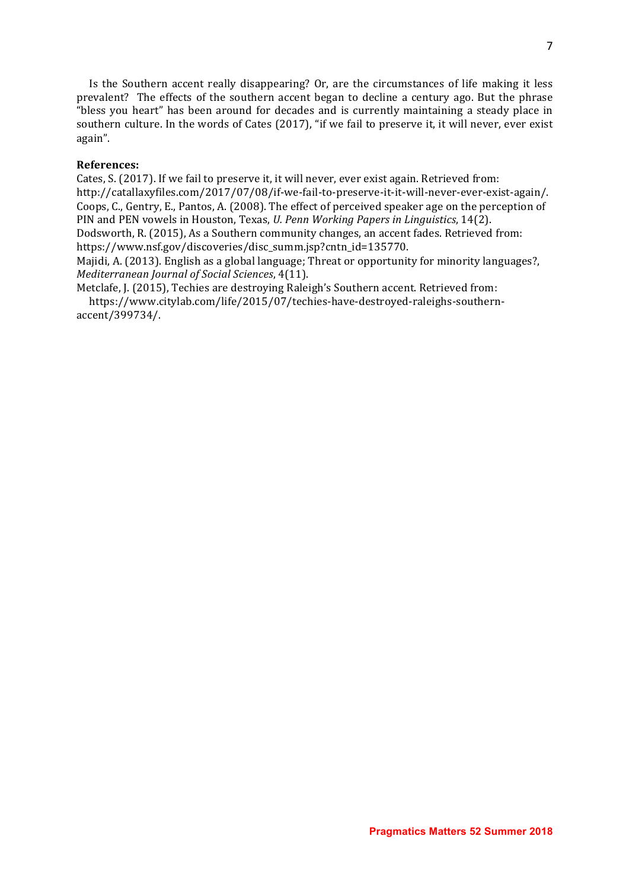Is the Southern accent really disappearing? Or, are the circumstances of life making it less prevalent? The effects of the southern accent began to decline a century ago. But the phrase "bless you heart" has been around for decades and is currently maintaining a steady place in southern culture. In the words of Cates (2017), "if we fail to preserve it, it will never, ever exist again". 

#### **References:**

Cates, S. (2017). If we fail to preserve it, it will never, ever exist again. Retrieved from: http://catallaxyfiles.com/2017/07/08/if-we-fail-to-preserve-it-it-will-never-ever-exist-again/. Coops, C., Gentry, E., Pantos, A. (2008). The effect of perceived speaker age on the perception of PIN and PEN vowels in Houston, Texas, *U. Penn Working Papers in Linguistics*, 14(2). Dodsworth, R. (2015), As a Southern community changes, an accent fades. Retrieved from: https://www.nsf.gov/discoveries/disc\_summ.jsp?cntn\_id=135770.

Majidi, A. (2013). English as a global language; Threat or opportunity for minority languages?, *Mediterranean Journal of Social Sciences*, 4(11).

Metclafe, J. (2015), Techies are destroying Raleigh's Southern accent. Retrieved from:

 https://www.citylab.com/life/2015/07/techies-have-destroyed-raleighs-southernaccent/399734/.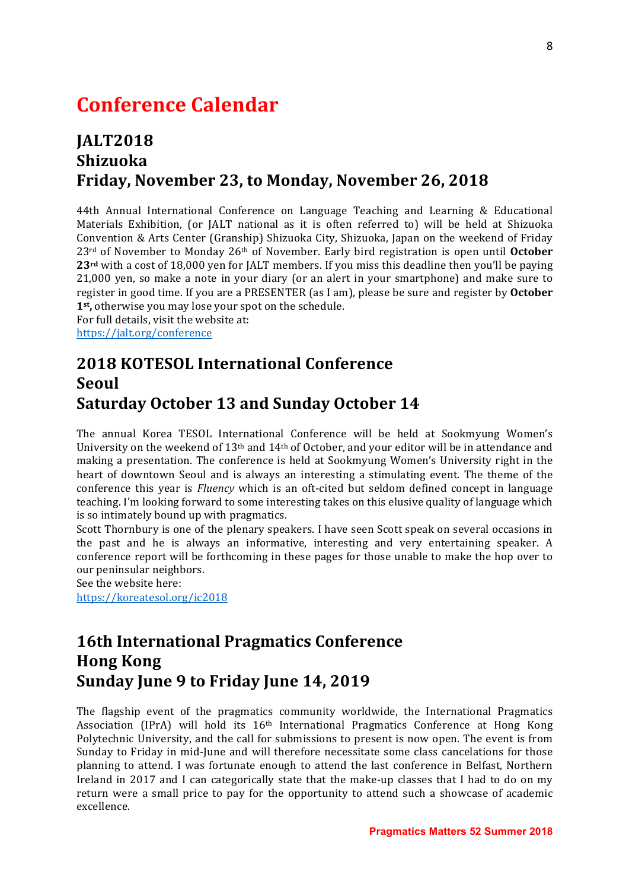### **Conference Calendar**

### **JALT2018 Shizuoka** Friday, November 23, to Monday, November 26, 2018

44th Annual International Conference on Language Teaching and Learning & Educational Materials Exhibition, (or JALT national as it is often referred to) will be held at Shizuoka Convention & Arts Center (Granship) Shizuoka City, Shizuoka, Japan on the weekend of Friday  $23<sup>rd</sup>$  of November to Monday  $26<sup>th</sup>$  of November. Early bird registration is open until **October**  $23<sup>rd</sup>$  with a cost of 18,000 yen for JALT members. If you miss this deadline then you'll be paying  $21,000$  ven, so make a note in your diary (or an alert in your smartphone) and make sure to register in good time. If you are a PRESENTER (as I am), please be sure and register by **October** 1<sup>st</sup>, otherwise you may lose your spot on the schedule.

For full details, visit the website at: https://jalt.org/conference

### **2018 KOTESOL International Conference Seoul Saturday October 13 and Sunday October 14**

The annual Korea TESOL International Conference will be held at Sookmyung Women's University on the weekend of 13<sup>th</sup> and 14<sup>th</sup> of October, and your editor will be in attendance and making a presentation. The conference is held at Sookmyung Women's University right in the heart of downtown Seoul and is always an interesting a stimulating event. The theme of the conference this year is *Fluency* which is an oft-cited but seldom defined concept in language teaching. I'm looking forward to some interesting takes on this elusive quality of language which is so intimately bound up with pragmatics.

Scott Thornbury is one of the plenary speakers. I have seen Scott speak on several occasions in the past and he is always an informative, interesting and very entertaining speaker. A conference report will be forthcoming in these pages for those unable to make the hop over to our peninsular neighbors.

See the website here:

https://koreatesol.org/ic2018

### **16th International Pragmatics Conference Hong Kong Sunday June 9 to Friday June 14, 2019**

The flagship event of the pragmatics community worldwide, the International Pragmatics Association (IPrA) will hold its 16<sup>th</sup> International Pragmatics Conference at Hong Kong Polytechnic University, and the call for submissions to present is now open. The event is from Sunday to Friday in mid-June and will therefore necessitate some class cancelations for those planning to attend. I was fortunate enough to attend the last conference in Belfast, Northern Ireland in 2017 and I can categorically state that the make-up classes that I had to do on my return were a small price to pay for the opportunity to attend such a showcase of academic excellence.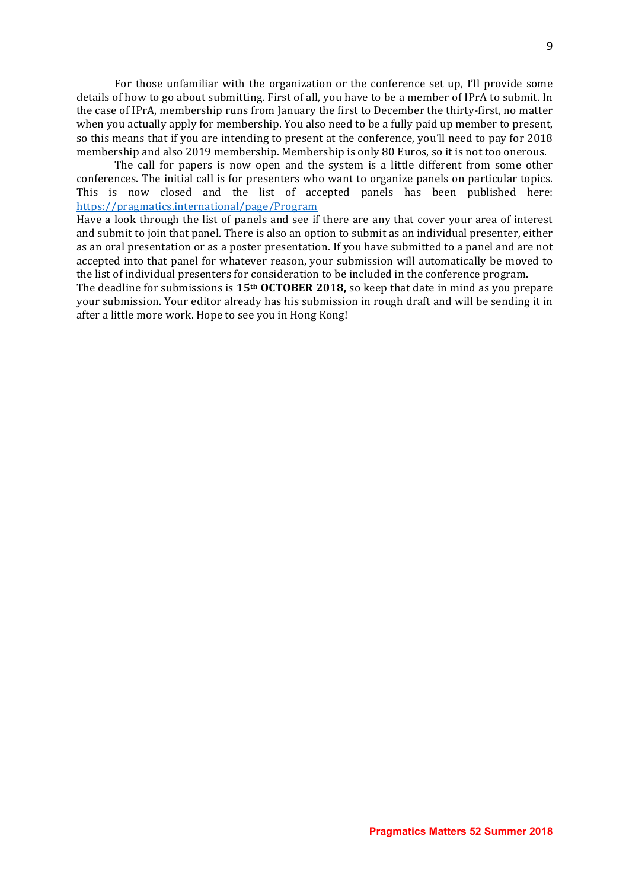For those unfamiliar with the organization or the conference set up, I'll provide some details of how to go about submitting. First of all, you have to be a member of IPrA to submit. In the case of IPrA, membership runs from January the first to December the thirty-first, no matter when you actually apply for membership. You also need to be a fully paid up member to present, so this means that if you are intending to present at the conference, you'll need to pay for 2018 membership and also 2019 membership. Membership is only 80 Euros, so it is not too onerous.

The call for papers is now open and the system is a little different from some other conferences. The initial call is for presenters who want to organize panels on particular topics. This is now closed and the list of accepted panels has been published here: https://pragmatics.international/page/Program

Have a look through the list of panels and see if there are any that cover your area of interest and submit to join that panel. There is also an option to submit as an individual presenter, either as an oral presentation or as a poster presentation. If you have submitted to a panel and are not accepted into that panel for whatever reason, your submission will automatically be moved to the list of individual presenters for consideration to be included in the conference program.

The deadline for submissions is 15<sup>th</sup> OCTOBER 2018, so keep that date in mind as you prepare your submission. Your editor already has his submission in rough draft and will be sending it in after a little more work. Hope to see you in Hong Kong!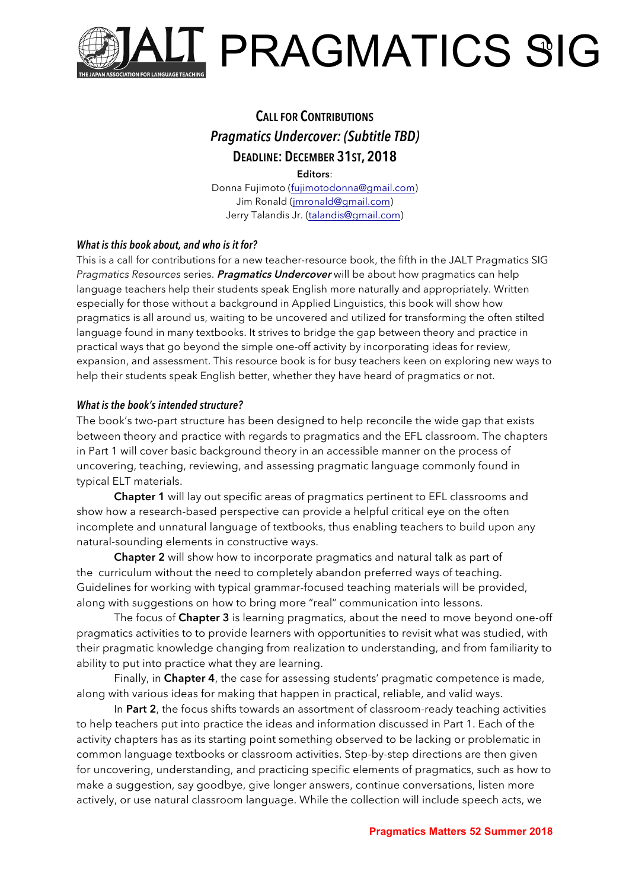

### **CALL FOR CONTRIBUTIONS** *Pragmatics Undercover: (Subtitle TBD)* **DEADLINE: DECEMBER 31ST, 2018**

**Editors**: Donna Fujimoto (fujimotodonna@gmail.com) Jim Ronald (jmronald@gmail.com) Jerry Talandis Jr. (talandis@gmail.com)

#### *What is this book about, and who is it for?*

This is a call for contributions for a new teacher-resource book, the fifth in the JALT Pragmatics SIG *Pragmatics Resources* series. **Pragmatics Undercover** will be about how pragmatics can help language teachers help their students speak English more naturally and appropriately. Written especially for those without a background in Applied Linguistics, this book will show how pragmatics is all around us, waiting to be uncovered and utilized for transforming the often stilted language found in many textbooks. It strives to bridge the gap between theory and practice in practical ways that go beyond the simple one-off activity by incorporating ideas for review, expansion, and assessment. This resource book is for busy teachers keen on exploring new ways to help their students speak English better, whether they have heard of pragmatics or not.

#### *What is the book's intended structure?*

The book's two-part structure has been designed to help reconcile the wide gap that exists between theory and practice with regards to pragmatics and the EFL classroom. The chapters in Part 1 will cover basic background theory in an accessible manner on the process of uncovering, teaching, reviewing, and assessing pragmatic language commonly found in typical ELT materials.

**Chapter 1** will lay out specific areas of pragmatics pertinent to EFL classrooms and show how a research-based perspective can provide a helpful critical eye on the often incomplete and unnatural language of textbooks, thus enabling teachers to build upon any natural-sounding elements in constructive ways.

**Chapter 2** will show how to incorporate pragmatics and natural talk as part of the curriculum without the need to completely abandon preferred ways of teaching. Guidelines for working with typical grammar-focused teaching materials will be provided, along with suggestions on how to bring more "real" communication into lessons.

The focus of **Chapter 3** is learning pragmatics, about the need to move beyond one-off pragmatics activities to to provide learners with opportunities to revisit what was studied, with their pragmatic knowledge changing from realization to understanding, and from familiarity to ability to put into practice what they are learning.

Finally, in **Chapter 4**, the case for assessing students' pragmatic competence is made, along with various ideas for making that happen in practical, reliable, and valid ways.

In **Part 2**, the focus shifts towards an assortment of classroom-ready teaching activities to help teachers put into practice the ideas and information discussed in Part 1. Each of the activity chapters has as its starting point something observed to be lacking or problematic in common language textbooks or classroom activities. Step-by-step directions are then given for uncovering, understanding, and practicing specific elements of pragmatics, such as how to make a suggestion, say goodbye, give longer answers, continue conversations, listen more actively, or use natural classroom language. While the collection will include speech acts, we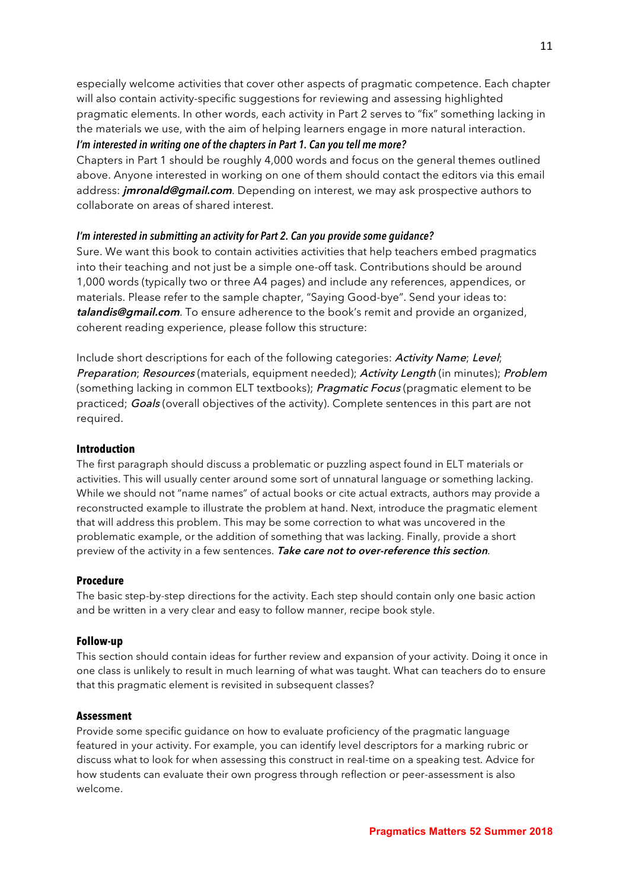especially welcome activities that cover other aspects of pragmatic competence. Each chapter will also contain activity-specific suggestions for reviewing and assessing highlighted pragmatic elements. In other words, each activity in Part 2 serves to "fix" something lacking in the materials we use, with the aim of helping learners engage in more natural interaction. *I'm interested in writing one of the chapters in Part 1. Can you tell me more?*

Chapters in Part 1 should be roughly 4,000 words and focus on the general themes outlined above. Anyone interested in working on one of them should contact the editors via this email address: **jmronald@gmail.com**. Depending on interest, we may ask prospective authors to collaborate on areas of shared interest.

#### *I'm interested in submitting an activity for Part 2. Can you provide some guidance?*

Sure. We want this book to contain activities activities that help teachers embed pragmatics into their teaching and not just be a simple one-off task. Contributions should be around 1,000 words (typically two or three A4 pages) and include any references, appendices, or materials. Please refer to the sample chapter, "Saying Good-bye". Send your ideas to: **talandis@gmail.com**. To ensure adherence to the book's remit and provide an organized, coherent reading experience, please follow this structure:

Include short descriptions for each of the following categories: Activity Name; Level; Preparation; Resources (materials, equipment needed); Activity Length (in minutes); Problem (something lacking in common ELT textbooks); Pragmatic Focus (pragmatic element to be practiced; Goals (overall objectives of the activity). Complete sentences in this part are not required.

#### **Introduction**

The first paragraph should discuss a problematic or puzzling aspect found in ELT materials or activities. This will usually center around some sort of unnatural language or something lacking. While we should not "name names" of actual books or cite actual extracts, authors may provide a reconstructed example to illustrate the problem at hand. Next, introduce the pragmatic element that will address this problem. This may be some correction to what was uncovered in the problematic example, or the addition of something that was lacking. Finally, provide a short preview of the activity in a few sentences. **Take care not to over-reference this section**.

#### **Procedure**

The basic step-by-step directions for the activity. Each step should contain only one basic action and be written in a very clear and easy to follow manner, recipe book style.

#### **Follow-up**

This section should contain ideas for further review and expansion of your activity. Doing it once in one class is unlikely to result in much learning of what was taught. What can teachers do to ensure that this pragmatic element is revisited in subsequent classes?

#### **Assessment**

Provide some specific guidance on how to evaluate proficiency of the pragmatic language featured in your activity. For example, you can identify level descriptors for a marking rubric or discuss what to look for when assessing this construct in real-time on a speaking test. Advice for how students can evaluate their own progress through reflection or peer-assessment is also welcome.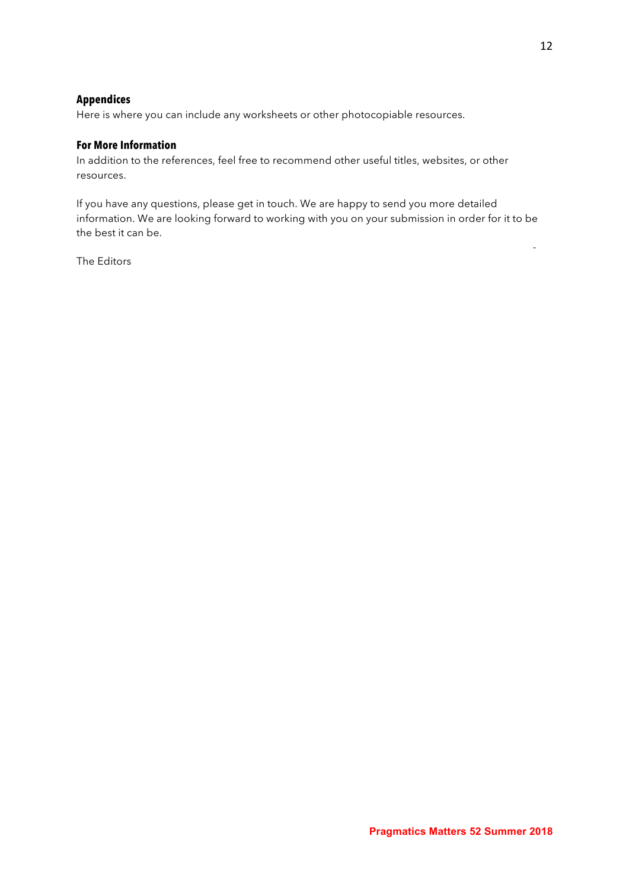#### **Appendices**

Here is where you can include any worksheets or other photocopiable resources.

#### **For More Information**

In addition to the references, feel free to recommend other useful titles, websites, or other resources.

If you have any questions, please get in touch. We are happy to send you more detailed information. We are looking forward to working with you on your submission in order for it to be the best it can be.

The Editors

-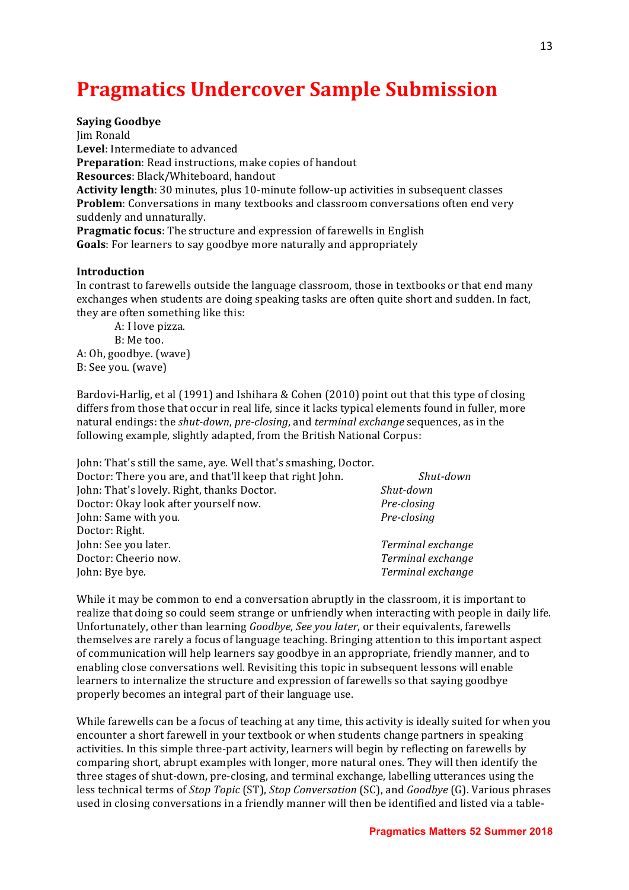# **Pragmatics Undercover Sample Submission**

**Saying Goodbye** 

Jim Ronald Level: Intermediate to advanced **Preparation:** Read instructions, make copies of handout **Resources**: Black/Whiteboard, handout Activity length: 30 minutes, plus 10-minute follow-up activities in subsequent classes **Problem**: Conversations in many textbooks and classroom conversations often end very suddenly and unnaturally. **Pragmatic focus**: The structure and expression of farewells in English **Goals**: For learners to say goodbye more naturally and appropriately

#### **Introduction**

In contrast to farewells outside the language classroom, those in textbooks or that end many exchanges when students are doing speaking tasks are often quite short and sudden. In fact, they are often something like this:

A: I love pizza. B: Me too. A: Oh, goodbye. (wave) B: See you. (wave)

Bardovi-Harlig, et al (1991) and Ishihara & Cohen (2010) point out that this type of closing differs from those that occur in real life, since it lacks typical elements found in fuller, more natural endings: the *shut-down*, *pre-closing*, and *terminal exchange* sequences, as in the following example, slightly adapted, from the British National Corpus:

| John: That's still the same, aye. Well that's smashing, Doctor. |                   |
|-----------------------------------------------------------------|-------------------|
| Doctor: There you are, and that'll keep that right John.        | Shut-down         |
| John: That's lovely. Right, thanks Doctor.                      | Shut-down         |
| Doctor: Okay look after yourself now.                           | Pre-closing       |
| John: Same with you.                                            | Pre-closing       |
| Doctor: Right.                                                  |                   |
| John: See you later.                                            | Terminal exchange |
| Doctor: Cheerio now.                                            | Terminal exchange |
| John: Bye bye.                                                  | Terminal exchange |

While it may be common to end a conversation abruptly in the classroom, it is important to realize that doing so could seem strange or unfriendly when interacting with people in daily life. Unfortunately, other than learning *Goodbye, See you later*, or their equivalents, farewells themselves are rarely a focus of language teaching. Bringing attention to this important aspect of communication will help learners say goodbye in an appropriate, friendly manner, and to enabling close conversations well. Revisiting this topic in subsequent lessons will enable learners to internalize the structure and expression of farewells so that saying goodbye properly becomes an integral part of their language use.

While farewells can be a focus of teaching at any time, this activity is ideally suited for when you encounter a short farewell in your textbook or when students change partners in speaking activities. In this simple three-part activity, learners will begin by reflecting on farewells by comparing short, abrupt examples with longer, more natural ones. They will then identify the three stages of shut-down, pre-closing, and terminal exchange, labelling utterances using the less technical terms of *Stop Topic* (ST), *Stop Conversation* (SC), and *Goodbye* (G). Various phrases used in closing conversations in a friendly manner will then be identified and listed via a table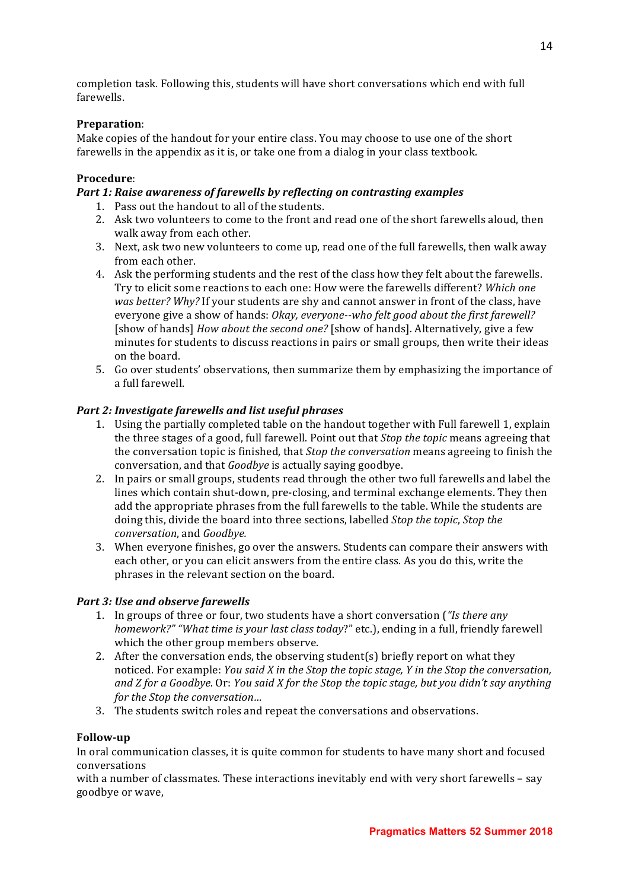completion task. Following this, students will have short conversations which end with full farewells. 

#### **Preparation**:

Make copies of the handout for your entire class. You may choose to use one of the short farewells in the appendix as it is, or take one from a dialog in your class textbook.

#### **Procedure**:

#### *Part 1: Raise awareness of farewells by reflecting on contrasting examples*

- 1. Pass out the handout to all of the students.
- 2. Ask two volunteers to come to the front and read one of the short farewells aloud, then walk away from each other.
- 3. Next, ask two new volunteers to come up, read one of the full farewells, then walk away from each other.
- 4. Ask the performing students and the rest of the class how they felt about the farewells. Try to elicit some reactions to each one: How were the farewells different? *Which one was better? Why?* If your students are shy and cannot answer in front of the class, have everyone give a show of hands: *Okay, everyone--who felt good about the first farewell?* [show of hands] *How about the second one?* [show of hands]. Alternatively, give a few minutes for students to discuss reactions in pairs or small groups, then write their ideas on the board.
- 5. Go over students' observations, then summarize them by emphasizing the importance of a full farewell.

#### *Part 2: Investigate farewells and list useful phrases*

- 1. Using the partially completed table on the handout together with Full farewell 1, explain the three stages of a good, full farewell. Point out that *Stop the topic* means agreeing that the conversation topic is finished, that *Stop the conversation* means agreeing to finish the conversation, and that *Goodbye* is actually saying goodbye.
- 2. In pairs or small groups, students read through the other two full farewells and label the lines which contain shut-down, pre-closing, and terminal exchange elements. They then add the appropriate phrases from the full farewells to the table. While the students are doing this, divide the board into three sections, labelled *Stop the topic*, *Stop the*  $conversion$ , and *Goodbye.*
- 3. When everyone finishes, go over the answers. Students can compare their answers with each other, or you can elicit answers from the entire class. As you do this, write the phrases in the relevant section on the board.

#### *Part 3: Use and observe farewells*

- 1. In groups of three or four, two students have a short conversation (*"Is there any homework?"* "What time is your last class today?" etc.), ending in a full, friendly farewell which the other group members observe.
- 2. After the conversation ends, the observing student(s) briefly report on what they noticed. For example: *You said X in the Stop the topic stage, Y in the Stop the conversation,* and *Z* for a Goodbye. Or: *You said X* for the *Stop* the topic stage, but you didn't say anything *for the Stop the conversation...*
- 3. The students switch roles and repeat the conversations and observations.

#### **Follow-up**

In oral communication classes, it is quite common for students to have many short and focused conversations 

with a number of classmates. These interactions inevitably end with very short farewells - say goodbye or wave,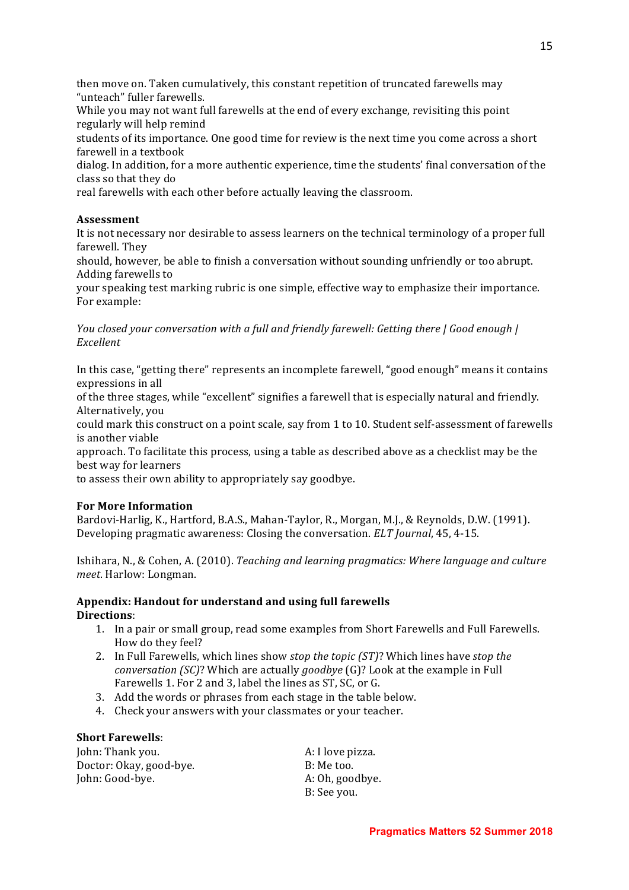then move on. Taken cumulatively, this constant repetition of truncated farewells may "unteach" fuller farewells.

While you may not want full farewells at the end of every exchange, revisiting this point regularly will help remind

students of its importance. One good time for review is the next time you come across a short farewell in a textbook

dialog. In addition, for a more authentic experience, time the students' final conversation of the class so that they do

real farewells with each other before actually leaving the classroom.

#### **Assessment**

It is not necessary nor desirable to assess learners on the technical terminology of a proper full farewell. They

should, however, be able to finish a conversation without sounding unfriendly or too abrupt. Adding farewells to

your speaking test marking rubric is one simple, effective way to emphasize their importance. For example:

*You closed your conversation with a full and friendly farewell: Getting there | Good enough | Excellent*

In this case, "getting there" represents an incomplete farewell, "good enough" means it contains expressions in all

of the three stages, while "excellent" signifies a farewell that is especially natural and friendly. Alternatively, you

could mark this construct on a point scale, say from 1 to 10. Student self-assessment of farewells is another viable

approach. To facilitate this process, using a table as described above as a checklist may be the best way for learners

to assess their own ability to appropriately say goodbye.

#### **For More Information**

Bardovi-Harlig, K., Hartford, B.A.S., Mahan-Taylor, R., Morgan, M.J., & Reynolds, D.W. (1991). Developing pragmatic awareness: Closing the conversation. *ELT Journal*, 45, 4-15.

Ishihara, N., & Cohen, A. (2010). *Teaching and learning pragmatics:* Where language and culture *meet*. Harlow: Longman.

#### Appendix: Handout for understand and using full farewells **Directions**:

- 1. In a pair or small group, read some examples from Short Farewells and Full Farewells. How do they feel?
- 2. In Full Farewells, which lines show *stop the topic (ST)*? Which lines have *stop the conversation* (SC)? Which are actually *goodbye* (G)? Look at the example in Full Farewells 1. For 2 and 3, label the lines as ST, SC, or G.
- 3. Add the words or phrases from each stage in the table below.
- 4. Check your answers with your classmates or your teacher.

#### **Short Farewells:**

**John:** Thank you. **A:** I love pizza. Doctor: Okay, good-bye. B: Me too. John: Good-bye. A: Oh, goodbye.

B: See you.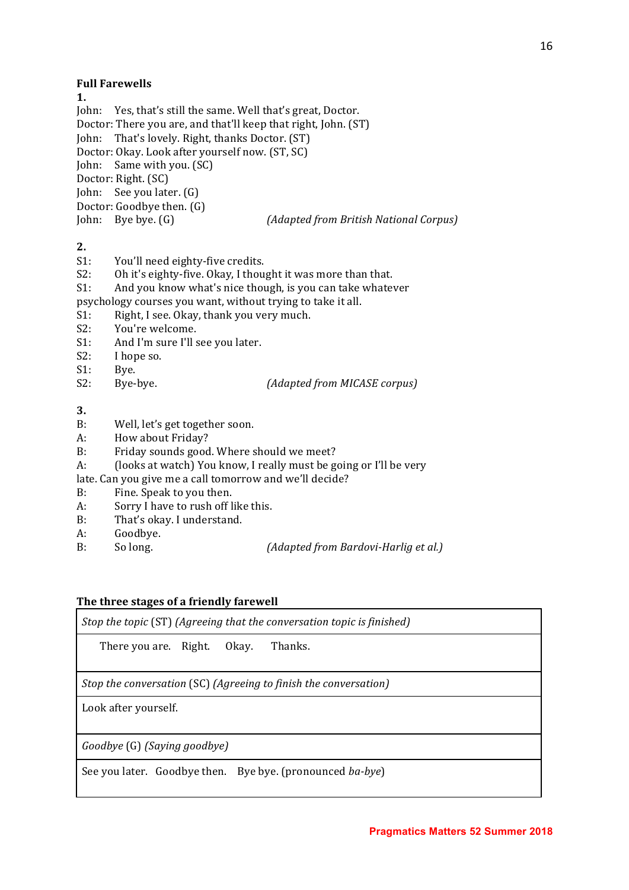#### **Full Farewells**

**1.**

John: Yes, that's still the same. Well that's great, Doctor. Doctor: There you are, and that'll keep that right, John. (ST) John: That's lovely. Right, thanks Doctor. (ST) Doctor: Okay. Look after yourself now. (ST, SC) John: Same with you. (SC) Doctor: Right. (SC) John: See you later. (G) Doctor: Goodbye then. (G) John: Bye bye. (G)  $(Adapted from British National Corpus)$ 

**2.**

- S1: You'll need eighty-five credits.
- S2: Oh it's eighty-five. Okay, I thought it was more than that.
- S1: And you know what's nice though, is you can take whatever
- psychology courses you want, without trying to take it all.
- S1: Right, I see. Okay, thank you very much.
- S2: You're welcome.
- S1: And I'm sure I'll see you later.
- S2: I hope so.
- S1: Bye.
- 

S2: Bye-bye. *(Adapted from MICASE corpus)* 

**3.**

- B: Well, let's get together soon.
- A: How about Friday?
- B: Friday sounds good. Where should we meet?
- A: (looks at watch) You know, I really must be going or I'll be very
- late. Can you give me a call tomorrow and we'll decide?
- B: Fine. Speak to you then.
- A: Sorry I have to rush off like this.
- B: That's okay. I understand.
- A: Goodbye.
- B: So long. *(Adapted from Bardovi-Harlig et al.)*

#### The three stages of a friendly farewell

*Stop* the topic (ST) (Agreeing that the conversation topic is finished)

There you are. Right. Okay. Thanks.

*Stop* the conversation *(SC) (Agreeing to finish the conversation)* 

Look after yourself.

*Goodbye* (G) *(Saying goodbye)*

See you later. Goodbye then. Bye bye. (pronounced *ba-bye*)